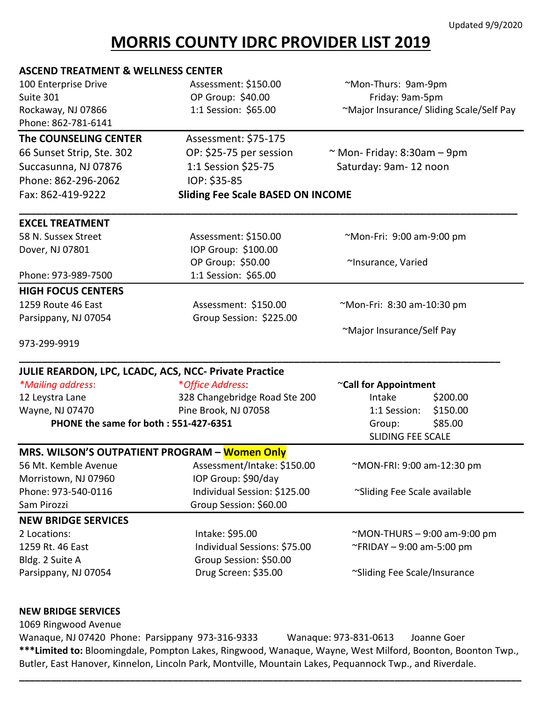## Updated 9/9/2020

## **MORRIS COUNTY IDRC PROVIDER LIST 2019**

| <b>ASCEND TREATMENT &amp; WELLNESS CENTER</b>         |                                          |                                                           |  |
|-------------------------------------------------------|------------------------------------------|-----------------------------------------------------------|--|
| 100 Enterprise Drive                                  | Assessment: \$150.00                     | ~Mon-Thurs: 9am-9pm<br>Friday: 9am-5pm                    |  |
| Suite 301                                             | OP Group: \$40.00                        |                                                           |  |
| Rockaway, NJ 07866                                    | 1:1 Session: \$65.00                     | ~Major Insurance/ Sliding Scale/Self Pay                  |  |
| Phone: 862-781-6141                                   |                                          |                                                           |  |
| The COUNSELING CENTER                                 | Assessment: \$75-175                     |                                                           |  |
| 66 Sunset Strip, Ste. 302                             | OP: \$25-75 per session                  | $\sim$ Mon- Friday: 8:30am - 9pm<br>Saturday: 9am-12 noon |  |
| Succasunna, NJ 07876                                  | 1:1 Session \$25-75                      |                                                           |  |
| Phone: 862-296-2062                                   | IOP: \$35-85                             |                                                           |  |
| Fax: 862-419-9222                                     | <b>Sliding Fee Scale BASED ON INCOME</b> |                                                           |  |
| <b>EXCEL TREATMENT</b>                                |                                          |                                                           |  |
| 58 N. Sussex Street                                   | Assessment: \$150.00                     | ~Mon-Fri: 9:00 am-9:00 pm                                 |  |
| Dover, NJ 07801                                       | IOP Group: \$100.00                      |                                                           |  |
|                                                       | OP Group: \$50.00                        | ~Insurance, Varied                                        |  |
| Phone: 973-989-7500                                   | 1:1 Session: \$65.00                     |                                                           |  |
| <b>HIGH FOCUS CENTERS</b>                             |                                          |                                                           |  |
| 1259 Route 46 East                                    | Assessment: \$150.00                     | ~Mon-Fri: 8:30 am-10:30 pm                                |  |
| Parsippany, NJ 07054                                  | Group Session: \$225.00                  |                                                           |  |
|                                                       |                                          | ~Major Insurance/Self Pay                                 |  |
| 973-299-9919                                          |                                          |                                                           |  |
| JULIE REARDON, LPC, LCADC, ACS, NCC- Private Practice |                                          |                                                           |  |
| *Mailing address:                                     | *Office Address:                         | ~Call for Appointment                                     |  |
| 12 Leystra Lane                                       | 328 Changebridge Road Ste 200            | Intake<br>\$200.00                                        |  |
| Wayne, NJ 07470                                       | Pine Brook, NJ 07058                     | \$150.00<br>1:1 Session:                                  |  |
| PHONE the same for both: 551-427-6351                 |                                          | \$85.00<br>Group:                                         |  |
|                                                       |                                          | <b>SLIDING FEE SCALE</b>                                  |  |
| MRS. WILSON'S OUTPATIENT PROGRAM - Women Only         |                                          |                                                           |  |
| 56 Mt. Kemble Avenue                                  | Assessment/Intake: \$150.00              | ~MON-FRI: 9:00 am-12:30 pm                                |  |
| Morristown, NJ 07960                                  | IOP Group: \$90/day                      |                                                           |  |
| Phone: 973-540-0116                                   | Individual Session: \$125.00             | ~Sliding Fee Scale available                              |  |
| Sam Pirozzi                                           | Group Session: \$60.00                   |                                                           |  |
| <b>NEW BRIDGE SERVICES</b>                            |                                          |                                                           |  |
| 2 Locations:                                          | Intake: \$95.00                          | $~\sim$ MON-THURS – 9:00 am-9:00 pm                       |  |
| 1259 Rt. 46 East                                      | Individual Sessions: \$75.00             | ~FRIDAY - 9:00 am-5:00 pm                                 |  |
| Bldg. 2 Suite A                                       | Group Session: \$50.00                   |                                                           |  |
| Parsippany, NJ 07054                                  | Drug Screen: \$35.00                     | ~Sliding Fee Scale/Insurance                              |  |
| <b>NEW BRIDGE SERVICES</b>                            |                                          |                                                           |  |
| 1069 Ringwood Avenue                                  |                                          |                                                           |  |
|                                                       | 0.72.210.0222                            |                                                           |  |

Wanaque, NJ 07420 Phone: Parsippany 973-316-9333 Wanaque: 973-831-0613 Joanne Goer **\*\*\*Limited to:** Bloomingdale, Pompton Lakes, Ringwood, Wanaque, Wayne, West Milford, Boonton, Boonton Twp., Butler, East Hanover, Kinnelon, Lincoln Park, Montville, Mountain Lakes, Pequannock Twp., and Riverdale.

**\_\_\_\_\_\_\_\_\_\_\_\_\_\_\_\_\_\_\_\_\_\_\_\_\_\_\_\_\_\_\_\_\_\_\_\_\_\_\_\_\_\_\_\_\_\_\_\_\_\_\_\_\_\_\_\_\_\_\_\_\_\_\_\_\_\_\_\_\_\_\_\_\_\_\_\_\_\_\_\_\_\_\_\_\_\_\_\_\_\_\_\_\_\_\_**